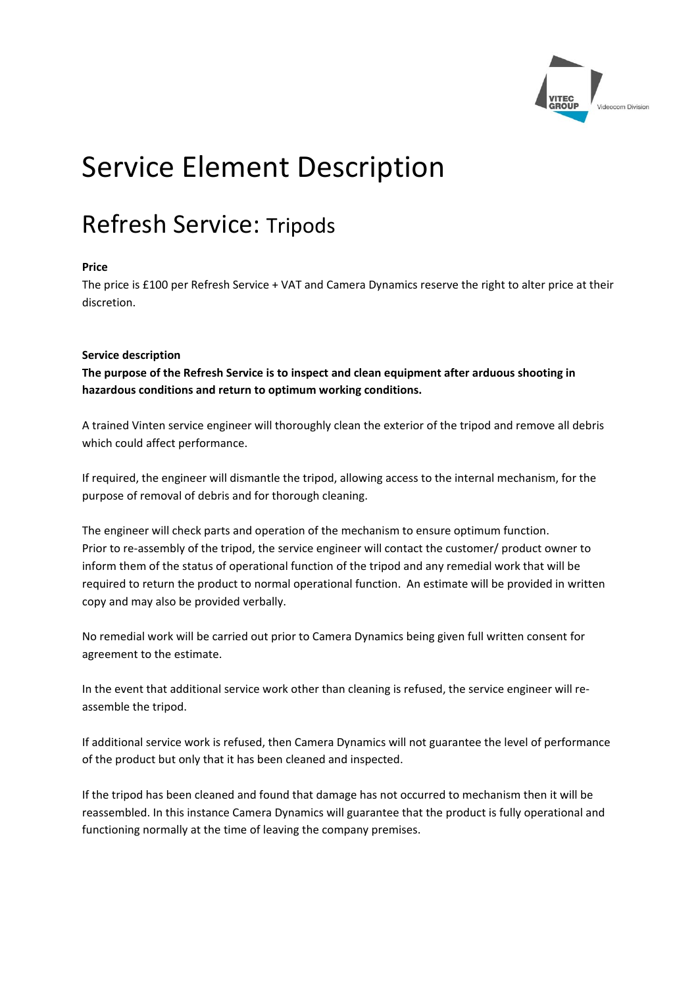

# Service Element Description

## Refresh Service: Tripods

### **Price**

The price is £100 per Refresh Service + VAT and Camera Dynamics reserve the right to alter price at their discretion.

#### **Service description**

**The purpose of the Refresh Service is to inspect and clean equipment after arduous shooting in hazardous conditions and return to optimum working conditions.**

A trained Vinten service engineer will thoroughly clean the exterior of the tripod and remove all debris which could affect performance.

If required, the engineer will dismantle the tripod, allowing access to the internal mechanism, for the purpose of removal of debris and for thorough cleaning.

The engineer will check parts and operation of the mechanism to ensure optimum function. Prior to re‐assembly of the tripod, the service engineer will contact the customer/ product owner to inform them of the status of operational function of the tripod and any remedial work that will be required to return the product to normal operational function. An estimate will be provided in written copy and may also be provided verbally.

No remedial work will be carried out prior to Camera Dynamics being given full written consent for agreement to the estimate.

In the event that additional service work other than cleaning is refused, the service engineer will reassemble the tripod.

If additional service work is refused, then Camera Dynamics will not guarantee the level of performance of the product but only that it has been cleaned and inspected.

If the tripod has been cleaned and found that damage has not occurred to mechanism then it will be reassembled. In this instance Camera Dynamics will guarantee that the product is fully operational and functioning normally at the time of leaving the company premises.